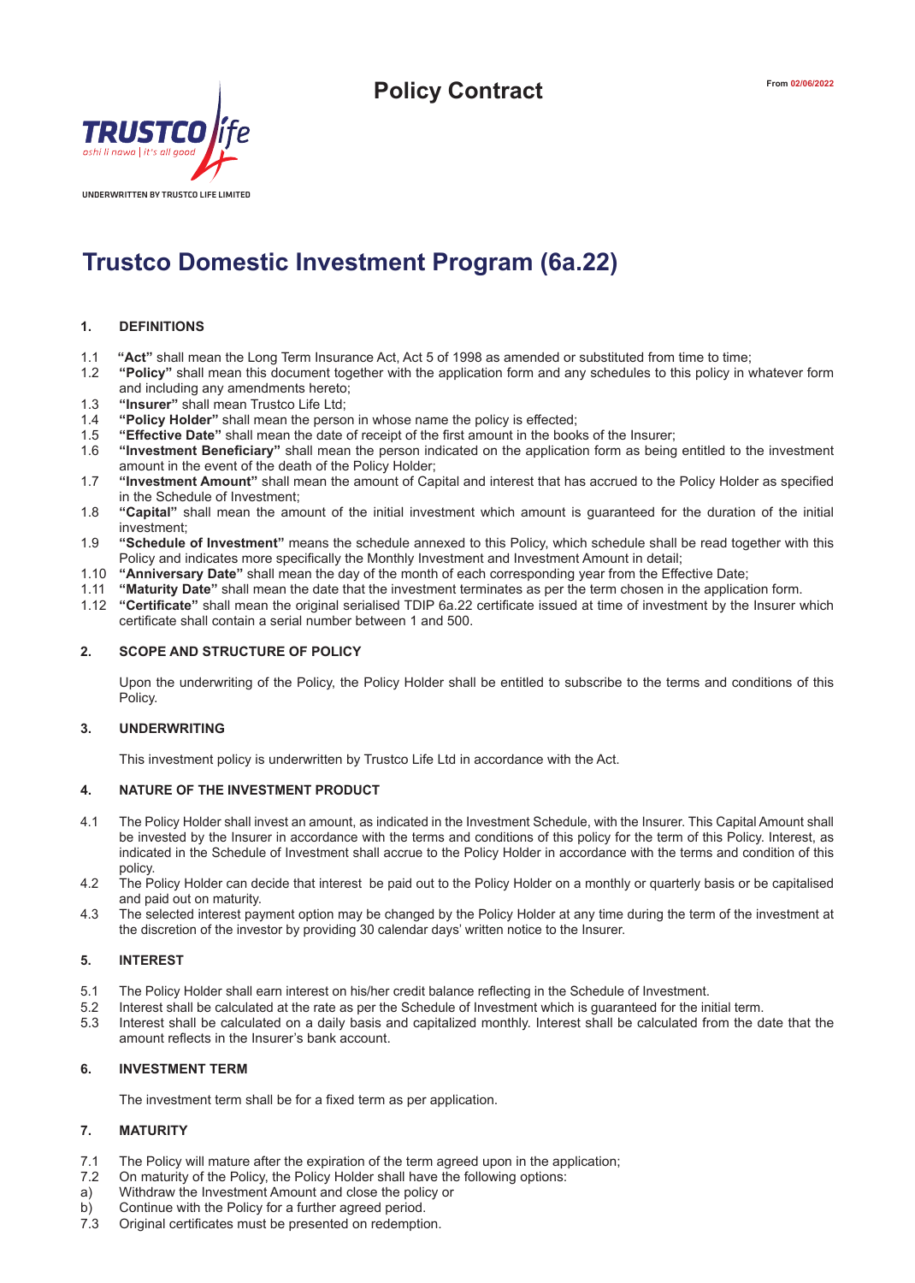

# **Trustco Domestic Investment Program (6a.22)**

## **1. DEFINITIONS**

- 
- 1.1 **"Act"** shall mean the Long Term Insurance Act, Act 5 of 1998 as amended or substituted from time to time; 1.2 **"Policy"** shall mean this document together with the application form and any schedules to this policy in whatever form and including any amendments hereto;
- 1.3 **"Insurer"** shall mean Trustco Life Ltd;<br>1.4 **"Policy Holder"** shall mean the perso
- 1.4 **"Policy Holder"** shall mean the person in whose name the policy is effected;
- 1.5 **"Effective Date"** shall mean the date of receipt of the first amount in the books of the Insurer;
- 1.6 **"Investment Beneficiary"** shall mean the person indicated on the application form as being entitled to the investment amount in the event of the death of the Policy Holder;
- 1.7 **"Investment Amount"** shall mean the amount of Capital and interest that has accrued to the Policy Holder as specified in the Schedule of Investment;
- 1.8 **"Capital"** shall mean the amount of the initial investment which amount is guaranteed for the duration of the initial investment;
- 1.9 **"Schedule of Investment"** means the schedule annexed to this Policy, which schedule shall be read together with this Policy and indicates more specifically the Monthly Investment and Investment Amount in detail;
- 1.10 **"Anniversary Date"** shall mean the day of the month of each corresponding year from the Effective Date;
- 1.11 **"Maturity Date"** shall mean the date that the investment terminates as per the term chosen in the application form.
- 1.12 **"Certificate"** shall mean the original serialised TDIP 6a.22 certificate issued at time of investment by the Insurer which certificate shall contain a serial number between 1 and 500.

## **2. SCOPE AND STRUCTURE OF POLICY**

Upon the underwriting of the Policy, the Policy Holder shall be entitled to subscribe to the terms and conditions of this Policy.

#### **3. UNDERWRITING**

This investment policy is underwritten by Trustco Life Ltd in accordance with the Act.

# **4. NATURE OF THE INVESTMENT PRODUCT**

- 4.1 The Policy Holder shall invest an amount, as indicated in the Investment Schedule, with the Insurer. This Capital Amount shall be invested by the Insurer in accordance with the terms and conditions of this policy for the term of this Policy. Interest, as indicated in the Schedule of Investment shall accrue to the Policy Holder in accordance with the terms and condition of this policy.
- 4.2 The Policy Holder can decide that interest be paid out to the Policy Holder on a monthly or quarterly basis or be capitalised and paid out on maturity.
- 4.3 The selected interest payment option may be changed by the Policy Holder at any time during the term of the investment at the discretion of the investor by providing 30 calendar days' written notice to the Insurer.

# **5. INTEREST**

- 5.1 The Policy Holder shall earn interest on his/her credit balance reflecting in the Schedule of Investment.
- 5.2 Interest shall be calculated at the rate as per the Schedule of Investment which is guaranteed for the initial term.
- 5.3 Interest shall be calculated on a daily basis and capitalized monthly. Interest shall be calculated from the date that the amount reflects in the Insurer's bank account.

## **6. INVESTMENT TERM**

The investment term shall be for a fixed term as per application.

# **7. MATURITY**

- 7.1 The Policy will mature after the expiration of the term agreed upon in the application;
- 7.2 On maturity of the Policy, the Policy Holder shall have the following options:
- a) Withdraw the Investment Amount and close the policy or
- b) Continue with the Policy for a further agreed period.<br>
7.3 Original certificates must be presented on redemptic
- Original certificates must be presented on redemption.